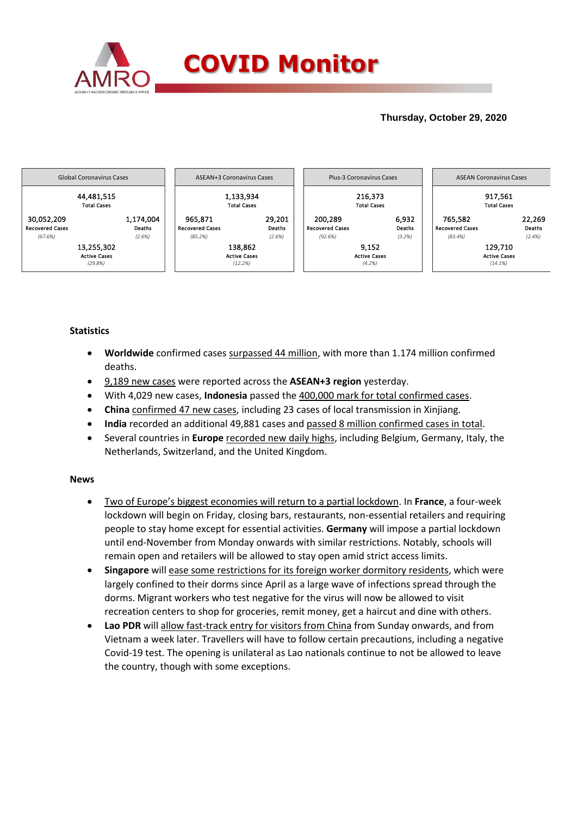

## **Thursday, October 29, 2020**



### **Statistics**

- **Worldwide** confirmed cases surpassed 44 million, with more than 1.174 million confirmed deaths.
- 9,189 new cases were reported across the **ASEAN+3 region** yesterday.
- With 4,029 new cases, **Indonesia** passed the 400,000 mark for total confirmed cases.
- **China** confirmed 47 new cases, including 23 cases of local transmission in Xinjiang.
- **India** recorded an additional 49,881 cases and passed 8 million confirmed cases in total.
- Several countries in **Europe** recorded new daily highs, including Belgium, Germany, Italy, the Netherlands, Switzerland, and the United Kingdom.

### **News**

- Two of Europe's biggest economies will return to a partial lockdown. In **France**, a four-week lockdown will begin on Friday, closing bars, restaurants, non-essential retailers and requiring people to stay home except for essential activities. **Germany** will impose a partial lockdown until end-November from Monday onwards with similar restrictions. Notably, schools will remain open and retailers will be allowed to stay open amid strict access limits.
- **Singapore** will ease some restrictions for its foreign worker dormitory residents, which were largely confined to their dorms since April as a large wave of infections spread through the dorms. Migrant workers who test negative for the virus will now be allowed to visit recreation centers to shop for groceries, remit money, get a haircut and dine with others.
- **Lao PDR** will allow fast-track entry for visitors from China from Sunday onwards, and from Vietnam a week later. Travellers will have to follow certain precautions, including a negative Covid-19 test. The opening is unilateral as Lao nationals continue to not be allowed to leave the country, though with some exceptions.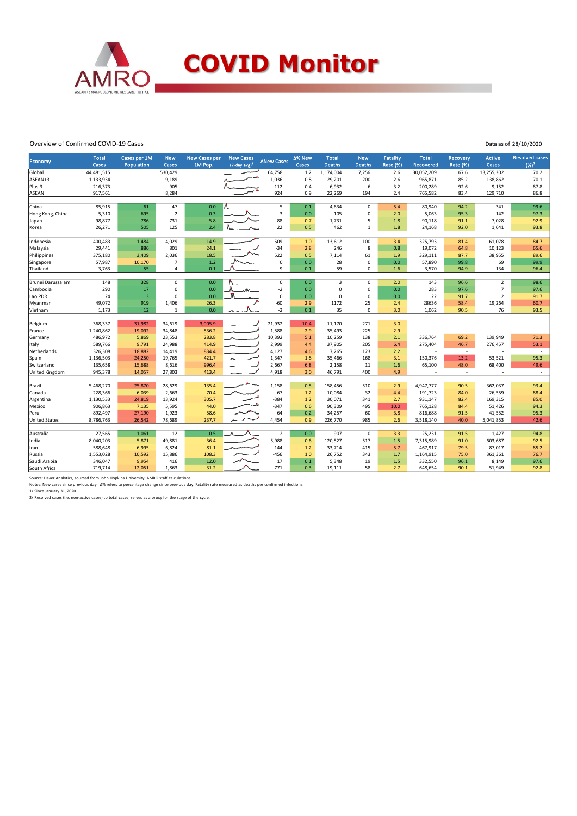

#### Overview of Confirmed COVID-19 Cases

|  | Data as of 28/10/2020 |  |
|--|-----------------------|--|
|  |                       |  |

| Economy                                                                                   | <b>Total</b><br>Cases                                                           | Cases per 1M<br>Population                                       | <b>New</b><br>Cases                                             | <b>New Cases per</b><br>1M Pop.                          | <b>New Cases</b><br>$(7$ -day avg $)^1$ | <b>ANew Cases</b>                                             | Δ% New<br>Cases                               | <b>Total</b><br>Deaths                                               | <b>New</b><br><b>Deaths</b>                 | <b>Fatality</b><br><b>Rate (%)</b>             | <b>Total</b><br><b>Recovered</b>                                   | <b>Recovery</b><br><b>Rate (%)</b>           | Active<br>Cases                                               | <b>Resolved cases</b><br>$(96)^2$ |
|-------------------------------------------------------------------------------------------|---------------------------------------------------------------------------------|------------------------------------------------------------------|-----------------------------------------------------------------|----------------------------------------------------------|-----------------------------------------|---------------------------------------------------------------|-----------------------------------------------|----------------------------------------------------------------------|---------------------------------------------|------------------------------------------------|--------------------------------------------------------------------|----------------------------------------------|---------------------------------------------------------------|-----------------------------------|
| Global                                                                                    | 44,481,515                                                                      |                                                                  | 530,429                                                         |                                                          |                                         | 64,758                                                        | $1.2$                                         | 1,174,004                                                            | 7,256                                       | 2.6                                            | 30,052,209                                                         | 67.6                                         | 13,255,302                                                    | 70.2                              |
| ASEAN+3                                                                                   | 1,133,934                                                                       |                                                                  | 9,189                                                           |                                                          |                                         | 1,036                                                         | 0.8                                           | 29,201                                                               | 200                                         | 2.6                                            | 965,871                                                            | 85.2                                         | 138,862                                                       | 70.1                              |
| Plus-3                                                                                    | 216,373                                                                         |                                                                  | 905                                                             |                                                          |                                         | 112                                                           | 0.4                                           | 6,932                                                                | 6                                           | 3.2                                            | 200,289                                                            | 92.6                                         | 9,152                                                         | 87.8                              |
| <b>ASEAN</b>                                                                              | 917,561                                                                         |                                                                  | 8,284                                                           |                                                          |                                         | 924                                                           | 0.9                                           | 22,269                                                               | 194                                         | 2.4                                            | 765,582                                                            | 83.4                                         | 129,710                                                       | 86.8                              |
|                                                                                           |                                                                                 |                                                                  |                                                                 |                                                          |                                         |                                                               |                                               |                                                                      |                                             |                                                |                                                                    |                                              |                                                               |                                   |
| China                                                                                     | 85,915                                                                          | 61                                                               | 47                                                              | 0.0                                                      |                                         | 5                                                             | 0.1                                           | 4,634                                                                | $\mathbf 0$                                 | 5.4                                            | 80,940                                                             | 94.2                                         | 341                                                           | 99.6                              |
| Hong Kong, China                                                                          | 5,310                                                                           | 695                                                              | $\overline{2}$                                                  | 0.3                                                      |                                         | $-3$                                                          | 0.0                                           | 105                                                                  | 0                                           | 2.0                                            | 5,063                                                              | 95.3                                         | 142                                                           | 97.3                              |
| Japan                                                                                     | 98,877                                                                          | 786                                                              | 731                                                             | 5.8                                                      |                                         | 88                                                            | 0.7                                           | 1,731                                                                | 5                                           | 1.8                                            | 90,118                                                             | 91.1                                         | 7,028                                                         | 92.9                              |
| Korea                                                                                     | 26,271                                                                          | 505                                                              | 125                                                             | 2.4                                                      |                                         | 22                                                            | 0.5                                           | 462                                                                  | 1                                           | 1.8                                            | 24,168                                                             | 92.0                                         | 1,641                                                         | 93.8                              |
|                                                                                           |                                                                                 |                                                                  |                                                                 |                                                          |                                         |                                                               |                                               |                                                                      |                                             |                                                |                                                                    |                                              |                                                               |                                   |
| Indonesia                                                                                 | 400,483                                                                         | 1,484                                                            | 4,029                                                           | 14.9                                                     |                                         | 509                                                           | 1.0                                           | 13,612                                                               | 100                                         | 3.4                                            | 325,793                                                            | 81.4                                         | 61,078                                                        | 84.7                              |
| Malaysia                                                                                  | 29,441                                                                          | 886                                                              | 801                                                             | 24.1                                                     |                                         | $-34$                                                         | 2.8                                           | 246                                                                  | 8                                           | 0.8                                            | 19,072                                                             | 64.8                                         | 10,123                                                        | 65.6                              |
| Philippines                                                                               | 375,180                                                                         | 3,409                                                            | 2,036                                                           | 18.5                                                     |                                         | 522                                                           | 0.5                                           | 7,114                                                                | 61                                          | 1.9                                            | 329,111                                                            | 87.7                                         | 38,955                                                        | 89.6                              |
| Singapore                                                                                 | 57,987                                                                          | 10,170                                                           | $\overline{7}$<br>4                                             | 1.2                                                      |                                         | $\mathbf 0$<br>-9                                             | 0.0                                           | 28<br>59                                                             | $\mathbf 0$                                 | 0.0 <sub>1</sub>                               | 57,890                                                             | 99.8                                         | 69                                                            | 99.9                              |
| Thailand                                                                                  | 3,763                                                                           | 55                                                               |                                                                 | 0.1                                                      |                                         |                                                               | 0.1                                           |                                                                      | 0                                           | 1.6                                            | 3,570                                                              | 94.9                                         | 134                                                           | 96.4                              |
| Brunei Darussalam                                                                         | 148                                                                             | 328                                                              | $\pmb{0}$                                                       | 0.0                                                      |                                         | $\mathsf 0$                                                   | 0.0                                           | $\overline{3}$                                                       | 0                                           | 2.0                                            | 143                                                                | 96.6                                         | $\overline{2}$                                                | 98.6                              |
| Cambodia                                                                                  | 290                                                                             | 17                                                               | $\mathbf 0$                                                     | 0.0                                                      |                                         | $-2$                                                          | 0.0                                           | $\mathbf 0$                                                          | 0                                           | 0.0                                            | 283                                                                | 97.6                                         | $\overline{7}$                                                | 97.6                              |
| Lao PDR                                                                                   | 24                                                                              | $\overline{\mathbf{3}}$                                          | $\Omega$                                                        | 0.0                                                      |                                         | $\mathbf 0$                                                   | 0.0                                           | $\mathbf 0$                                                          | 0                                           | 0.0                                            | 22                                                                 | 91.7                                         | $\overline{2}$                                                | 91.7                              |
| Myanmar                                                                                   | 49,072                                                                          | 919                                                              | 1,406                                                           | 26.3                                                     |                                         | $-60$                                                         | 2.9                                           | 1172                                                                 | 25                                          | 2.4                                            | 28636                                                              | 58.4                                         | 19,264                                                        | 60.7                              |
| Vietnam                                                                                   | 1,173                                                                           | 12                                                               | $\mathbf{1}$                                                    | 0.0                                                      |                                         | $-2$                                                          | 0.1                                           | 35                                                                   | 0                                           | 3.0                                            | 1,062                                                              | 90.5                                         | 76                                                            | 93.5                              |
|                                                                                           |                                                                                 |                                                                  |                                                                 |                                                          |                                         |                                                               |                                               |                                                                      |                                             |                                                |                                                                    |                                              |                                                               |                                   |
| Belgium                                                                                   | 368,337                                                                         | 31,982                                                           | 34,619                                                          | 3,005.9                                                  |                                         | 21,932                                                        | 10.4                                          | 11,170                                                               | 271                                         | 3.0                                            |                                                                    |                                              |                                                               |                                   |
| France                                                                                    | 1,240,862                                                                       | 19,092                                                           | 34,848                                                          | 536.2                                                    |                                         | 1,588                                                         | 2.9                                           | 35,493                                                               | 225                                         | 2.9                                            |                                                                    | J.                                           |                                                               |                                   |
| Germany                                                                                   | 486,972                                                                         | 5,869                                                            | 23,553                                                          | 283.8                                                    |                                         | 10,392                                                        | 5.1                                           | 10,259                                                               | 138                                         | 2.1                                            | 336,764                                                            | 69.2                                         | 139,949                                                       | 71.3                              |
| Italy                                                                                     | 589,766                                                                         | 9,791                                                            | 24,988                                                          | 414.9                                                    |                                         | 2,999                                                         | 4.4                                           | 37,905                                                               | 205                                         | 6.4                                            | 275,404                                                            | 46.7                                         | 276,457                                                       | 53.1                              |
| Netherlands                                                                               | 326,308                                                                         | 18,882                                                           | 14,419                                                          | 834.4                                                    |                                         | 4,127                                                         | 4.6                                           | 7,265                                                                | 123                                         | 2.2                                            |                                                                    | $\sim$                                       |                                                               | $\sim$                            |
| Spain                                                                                     | 1,136,503                                                                       | 24,250                                                           | 19,765                                                          | 421.7                                                    |                                         | 1,347                                                         | 1.8                                           | 35,466                                                               | 168                                         | 3.1                                            | 150,376                                                            | 13.2                                         | 53,521                                                        | 95.3                              |
| Switzerland                                                                               | 135,658                                                                         | 15,688                                                           | 8,616                                                           | 996.4                                                    |                                         | 2,667                                                         | 6.8                                           | 2,158                                                                | 11                                          | 1.6                                            | 65,100                                                             | 48.0                                         | 68,400                                                        | 49.6                              |
|                                                                                           |                                                                                 |                                                                  |                                                                 |                                                          |                                         |                                                               |                                               |                                                                      |                                             |                                                | ÷                                                                  | $\overline{\phantom{a}}$                     |                                                               | $\sim$                            |
|                                                                                           |                                                                                 |                                                                  |                                                                 |                                                          |                                         |                                                               |                                               |                                                                      |                                             |                                                |                                                                    |                                              |                                                               | 93.4                              |
|                                                                                           |                                                                                 |                                                                  |                                                                 |                                                          |                                         |                                                               |                                               |                                                                      |                                             |                                                |                                                                    |                                              |                                                               | 88.4                              |
|                                                                                           |                                                                                 |                                                                  |                                                                 |                                                          |                                         |                                                               |                                               |                                                                      |                                             |                                                |                                                                    |                                              |                                                               | 85.0                              |
|                                                                                           |                                                                                 |                                                                  |                                                                 |                                                          |                                         |                                                               |                                               |                                                                      |                                             |                                                |                                                                    |                                              |                                                               | 94.3                              |
|                                                                                           |                                                                                 |                                                                  |                                                                 |                                                          |                                         |                                                               |                                               |                                                                      |                                             |                                                |                                                                    |                                              |                                                               | 95.3                              |
|                                                                                           |                                                                                 |                                                                  |                                                                 |                                                          |                                         |                                                               |                                               |                                                                      |                                             |                                                |                                                                    |                                              |                                                               | 42.6                              |
|                                                                                           |                                                                                 |                                                                  |                                                                 |                                                          |                                         |                                                               |                                               |                                                                      |                                             |                                                |                                                                    |                                              |                                                               |                                   |
| Australia                                                                                 | 27,565                                                                          | 1,061                                                            | 12                                                              | 0.5                                                      |                                         | $-2$                                                          | 0.0                                           | 907                                                                  | $\mathsf{O}\xspace$                         | 3.3                                            | 25,231                                                             | 91.5                                         | 1,427                                                         | 94.8                              |
| India                                                                                     | 8,040,203                                                                       | 5,871                                                            | 49,881                                                          | 36.4                                                     |                                         | 5,988                                                         | 0.6                                           | 120,527                                                              | 517                                         | 1.5                                            | 7,315,989                                                          | 91.0                                         | 603,687                                                       | 92.5                              |
| Iran                                                                                      | 588,648                                                                         | 6,995                                                            | 6,824                                                           | 81.1                                                     |                                         | $-144$                                                        | 1.2                                           | 33,714                                                               | 415                                         | 5.7                                            | 467,917                                                            | 79.5                                         | 87,017                                                        | 85.2                              |
| Russia                                                                                    | 1,553,028                                                                       | 10,592                                                           | 15,886                                                          | 108.3                                                    |                                         | $-456$                                                        | 1.0                                           | 26,752                                                               | 343                                         | 1.7                                            | 1,164,915                                                          | 75.0                                         | 361,361                                                       | 76.7                              |
| Saudi Arabia                                                                              | 346,047                                                                         | 9,954                                                            | 416                                                             | 12.0                                                     |                                         | 17                                                            | 0.1                                           | 5,348                                                                | 19                                          | 1.5                                            | 332,550                                                            | 96.1                                         | 8,149                                                         | 97.6                              |
| South Africa                                                                              | 719,714                                                                         | 12,051                                                           | 1,863                                                           | 31.2                                                     |                                         | 771                                                           | 0.3                                           | 19,111                                                               | 58                                          | 2.7                                            | 648,654                                                            | 90.1                                         | 51,949                                                        | 92.8                              |
| United Kingdom<br>Brazil<br>Canada<br>Argentina<br>Mexico<br>Peru<br><b>United States</b> | 945,378<br>5,468,270<br>228,366<br>1,130,533<br>906,863<br>892,497<br>8,786,763 | 14,057<br>25,870<br>6,039<br>24,819<br>7,135<br>27,190<br>26,542 | 27,803<br>28,629<br>2,663<br>13,924<br>5,595<br>1,923<br>78,689 | 413.4<br>135.4<br>70.4<br>305.7<br>44.0<br>58.6<br>237.7 |                                         | 4,918<br>$-1,158$<br>$-67$<br>$-384$<br>$-347$<br>64<br>4,454 | 3.0<br>0.5<br>1.2<br>1.2<br>0.6<br>0.2<br>0.9 | 46,791<br>158,456<br>10,084<br>30,071<br>90,309<br>34,257<br>226,770 | 400<br>510<br>32<br>341<br>495<br>60<br>985 | 4.9<br>2.9<br>4.4<br>2.7<br>10.0<br>3.8<br>2.6 | 4,947,777<br>191,723<br>931,147<br>765,128<br>816,688<br>3,518,140 | 90.5<br>84.0<br>82.4<br>84.4<br>91.5<br>40.0 | 362,037<br>26,559<br>169,315<br>51,426<br>41,552<br>5,041,853 |                                   |

Source: Haver Analytics, sourced from John Hopkins University; AMRO staff calculations.<br>Notes: New cases since previous day. ∆% refers to percentage change since previous day. Fatality rate measured as deaths per confirmed